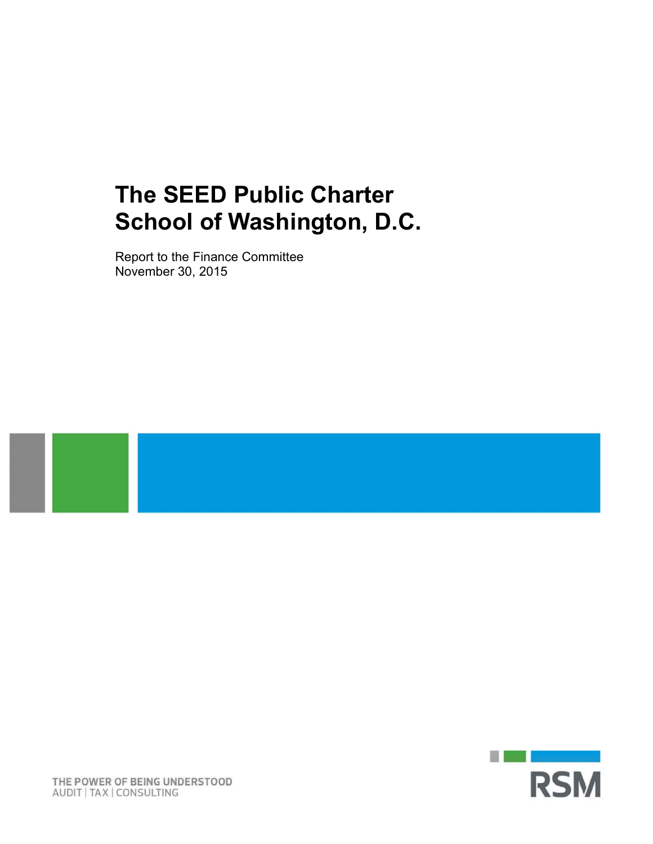# **The SEED Public Charter School of Washington, D.C.**

Report to the Finance Committee November 30, 2015



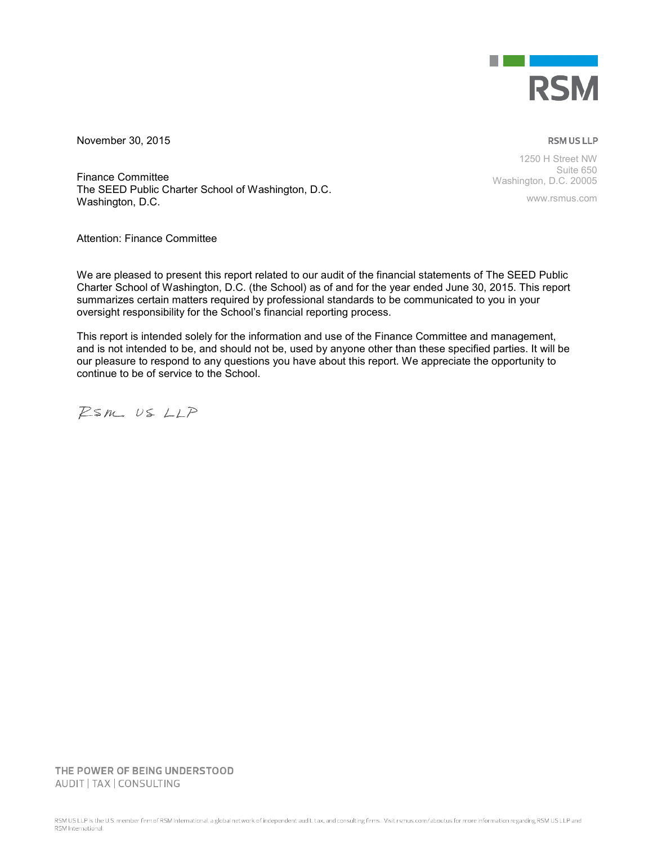

November 30, 2015

**RSM US LLP** 

Finance Committee The SEED Public Charter School of Washington, D.C. Washington, D.C.

Suite 650 Washington, D.C. 20005

1250 H Street NW

www.rsmus.com

Attention: Finance Committee

We are pleased to present this report related to our audit of the financial statements of The SEED Public Charter School of Washington, D.C. (the School) as of and for the year ended June 30, 2015. This report summarizes certain matters required by professional standards to be communicated to you in your oversight responsibility for the School's financial reporting process.

This report is intended solely for the information and use of the Finance Committee and management, and is not intended to be, and should not be, used by anyone other than these specified parties. It will be our pleasure to respond to any questions you have about this report. We appreciate the opportunity to continue to be of service to the School.

 $Psm.$  US  $LLP$ 

THE POWER OF BEING UNDERSTOOD AUDIT | TAX | CONSULTING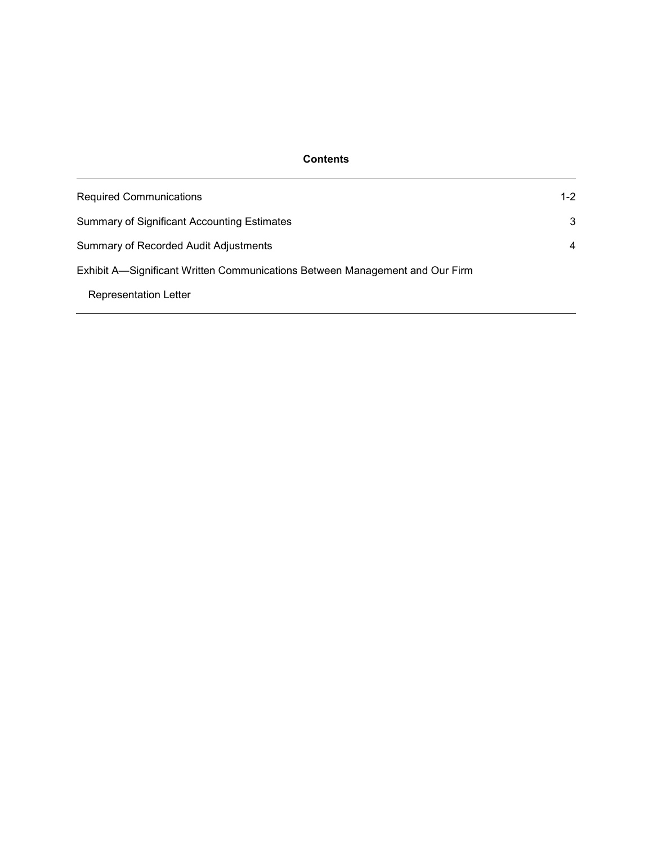# **Contents**

| <b>Required Communications</b>                                               | $1 - 2$ |  |  |  |
|------------------------------------------------------------------------------|---------|--|--|--|
| Summary of Significant Accounting Estimates                                  | 3       |  |  |  |
| <b>Summary of Recorded Audit Adjustments</b>                                 |         |  |  |  |
| Exhibit A—Significant Written Communications Between Management and Our Firm |         |  |  |  |
| <b>Representation Letter</b>                                                 |         |  |  |  |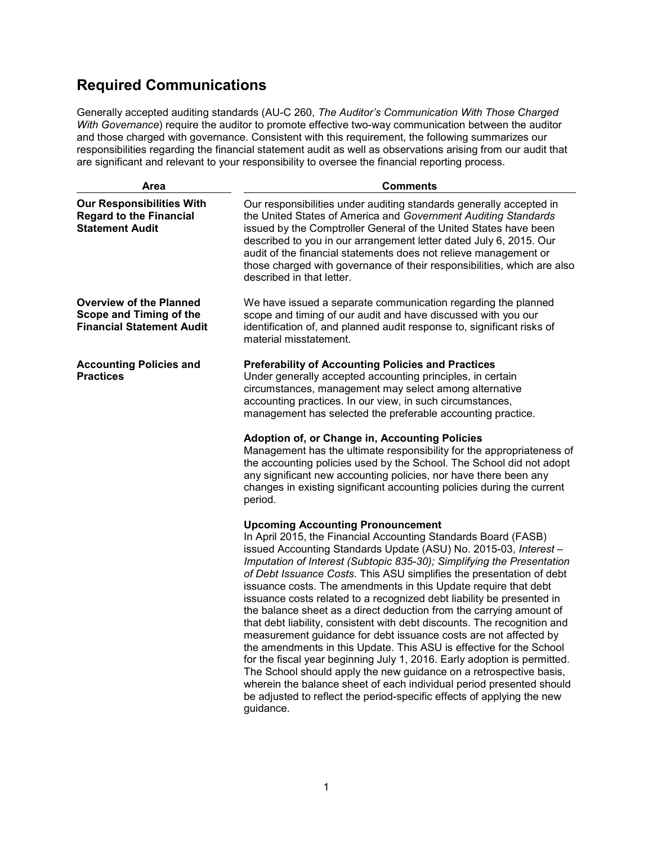# **Required Communications**

Generally accepted auditing standards (AU-C 260, *The Auditor's Communication With Those Charged With Governance*) require the auditor to promote effective two-way communication between the auditor and those charged with governance. Consistent with this requirement, the following summarizes our responsibilities regarding the financial statement audit as well as observations arising from our audit that are significant and relevant to your responsibility to oversee the financial reporting process.

| Area                                                                                          | <b>Comments</b>                                                                                                                                                                                                                                                                                                                                                                                                                                                                                                                                                                                                                                                                                                                                                                                                                                                                                                                                                                                                                                                                             |  |  |  |  |  |  |
|-----------------------------------------------------------------------------------------------|---------------------------------------------------------------------------------------------------------------------------------------------------------------------------------------------------------------------------------------------------------------------------------------------------------------------------------------------------------------------------------------------------------------------------------------------------------------------------------------------------------------------------------------------------------------------------------------------------------------------------------------------------------------------------------------------------------------------------------------------------------------------------------------------------------------------------------------------------------------------------------------------------------------------------------------------------------------------------------------------------------------------------------------------------------------------------------------------|--|--|--|--|--|--|
| <b>Our Responsibilities With</b><br><b>Regard to the Financial</b><br><b>Statement Audit</b>  | Our responsibilities under auditing standards generally accepted in<br>the United States of America and Government Auditing Standards<br>issued by the Comptroller General of the United States have been<br>described to you in our arrangement letter dated July 6, 2015. Our<br>audit of the financial statements does not relieve management or<br>those charged with governance of their responsibilities, which are also<br>described in that letter.                                                                                                                                                                                                                                                                                                                                                                                                                                                                                                                                                                                                                                 |  |  |  |  |  |  |
| <b>Overview of the Planned</b><br>Scope and Timing of the<br><b>Financial Statement Audit</b> | We have issued a separate communication regarding the planned<br>scope and timing of our audit and have discussed with you our<br>identification of, and planned audit response to, significant risks of<br>material misstatement.                                                                                                                                                                                                                                                                                                                                                                                                                                                                                                                                                                                                                                                                                                                                                                                                                                                          |  |  |  |  |  |  |
| <b>Accounting Policies and</b><br><b>Practices</b>                                            | <b>Preferability of Accounting Policies and Practices</b><br>Under generally accepted accounting principles, in certain<br>circumstances, management may select among alternative<br>accounting practices. In our view, in such circumstances,<br>management has selected the preferable accounting practice.                                                                                                                                                                                                                                                                                                                                                                                                                                                                                                                                                                                                                                                                                                                                                                               |  |  |  |  |  |  |
|                                                                                               | Adoption of, or Change in, Accounting Policies<br>Management has the ultimate responsibility for the appropriateness of<br>the accounting policies used by the School. The School did not adopt<br>any significant new accounting policies, nor have there been any<br>changes in existing significant accounting policies during the current<br>period.                                                                                                                                                                                                                                                                                                                                                                                                                                                                                                                                                                                                                                                                                                                                    |  |  |  |  |  |  |
|                                                                                               | <b>Upcoming Accounting Pronouncement</b><br>In April 2015, the Financial Accounting Standards Board (FASB)<br>issued Accounting Standards Update (ASU) No. 2015-03, Interest -<br>Imputation of Interest (Subtopic 835-30); Simplifying the Presentation<br>of Debt Issuance Costs. This ASU simplifies the presentation of debt<br>issuance costs. The amendments in this Update require that debt<br>issuance costs related to a recognized debt liability be presented in<br>the balance sheet as a direct deduction from the carrying amount of<br>that debt liability, consistent with debt discounts. The recognition and<br>measurement guidance for debt issuance costs are not affected by<br>the amendments in this Update. This ASU is effective for the School<br>for the fiscal year beginning July 1, 2016. Early adoption is permitted.<br>The School should apply the new guidance on a retrospective basis,<br>wherein the balance sheet of each individual period presented should<br>be adjusted to reflect the period-specific effects of applying the new<br>guidance. |  |  |  |  |  |  |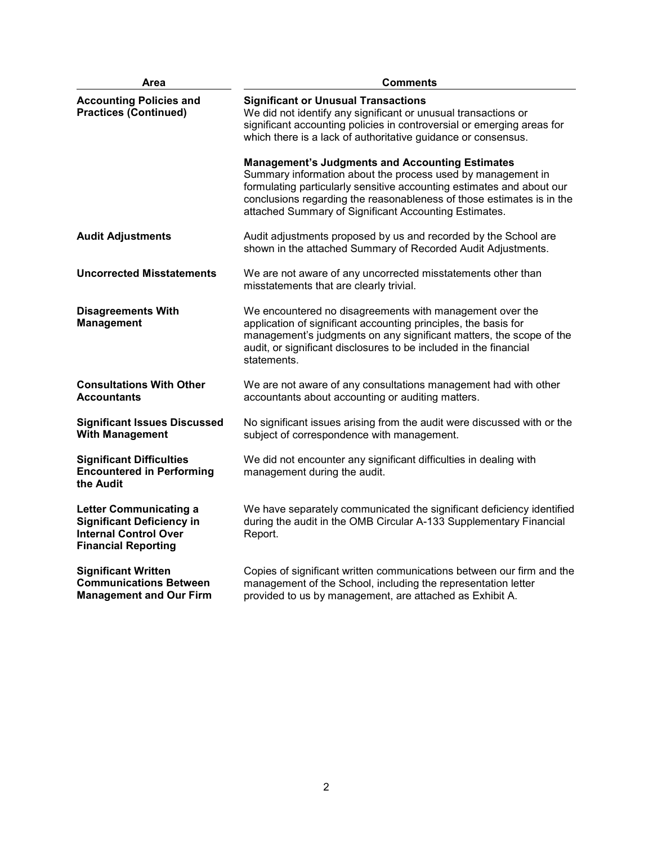| Area                                                                                                                            | <b>Comments</b>                                                                                                                                                                                                                                                                                                                  |  |  |  |  |  |  |  |
|---------------------------------------------------------------------------------------------------------------------------------|----------------------------------------------------------------------------------------------------------------------------------------------------------------------------------------------------------------------------------------------------------------------------------------------------------------------------------|--|--|--|--|--|--|--|
| <b>Accounting Policies and</b><br><b>Practices (Continued)</b>                                                                  | <b>Significant or Unusual Transactions</b><br>We did not identify any significant or unusual transactions or<br>significant accounting policies in controversial or emerging areas for<br>which there is a lack of authoritative guidance or consensus.                                                                          |  |  |  |  |  |  |  |
|                                                                                                                                 | <b>Management's Judgments and Accounting Estimates</b><br>Summary information about the process used by management in<br>formulating particularly sensitive accounting estimates and about our<br>conclusions regarding the reasonableness of those estimates is in the<br>attached Summary of Significant Accounting Estimates. |  |  |  |  |  |  |  |
| <b>Audit Adjustments</b>                                                                                                        | Audit adjustments proposed by us and recorded by the School are<br>shown in the attached Summary of Recorded Audit Adjustments.                                                                                                                                                                                                  |  |  |  |  |  |  |  |
| <b>Uncorrected Misstatements</b>                                                                                                | We are not aware of any uncorrected misstatements other than<br>misstatements that are clearly trivial.                                                                                                                                                                                                                          |  |  |  |  |  |  |  |
| <b>Disagreements With</b><br><b>Management</b>                                                                                  | We encountered no disagreements with management over the<br>application of significant accounting principles, the basis for<br>management's judgments on any significant matters, the scope of the<br>audit, or significant disclosures to be included in the financial<br>statements.                                           |  |  |  |  |  |  |  |
| <b>Consultations With Other</b><br><b>Accountants</b>                                                                           | We are not aware of any consultations management had with other<br>accountants about accounting or auditing matters.                                                                                                                                                                                                             |  |  |  |  |  |  |  |
| <b>Significant Issues Discussed</b><br><b>With Management</b>                                                                   | No significant issues arising from the audit were discussed with or the<br>subject of correspondence with management.                                                                                                                                                                                                            |  |  |  |  |  |  |  |
| <b>Significant Difficulties</b><br><b>Encountered in Performing</b><br>the Audit                                                | We did not encounter any significant difficulties in dealing with<br>management during the audit.                                                                                                                                                                                                                                |  |  |  |  |  |  |  |
| <b>Letter Communicating a</b><br><b>Significant Deficiency in</b><br><b>Internal Control Over</b><br><b>Financial Reporting</b> | We have separately communicated the significant deficiency identified<br>during the audit in the OMB Circular A-133 Supplementary Financial<br>Report.                                                                                                                                                                           |  |  |  |  |  |  |  |
| <b>Significant Written</b><br><b>Communications Between</b><br><b>Management and Our Firm</b>                                   | Copies of significant written communications between our firm and the<br>management of the School, including the representation letter<br>provided to us by management, are attached as Exhibit A.                                                                                                                               |  |  |  |  |  |  |  |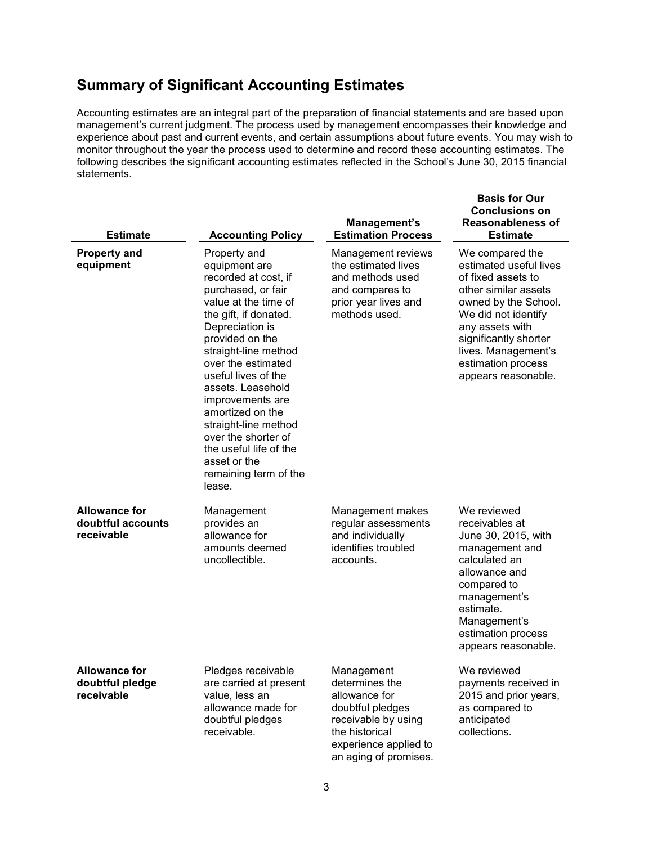# **Summary of Significant Accounting Estimates**

Accounting estimates are an integral part of the preparation of financial statements and are based upon management's current judgment. The process used by management encompasses their knowledge and experience about past and current events, and certain assumptions about future events. You may wish to monitor throughout the year the process used to determine and record these accounting estimates. The following describes the significant accounting estimates reflected in the School's June 30, 2015 financial statements.

| <b>Estimate</b>                                         | <b>Accounting Policy</b>                                                                                                                                                                                                                                                                                                                                                                                                         | Management's<br><b>Estimation Process</b>                                                                                                                    | <b>Basis for Our</b><br><b>Conclusions on</b><br><b>Reasonableness of</b><br><b>Estimate</b>                                                                                                                                                           |
|---------------------------------------------------------|----------------------------------------------------------------------------------------------------------------------------------------------------------------------------------------------------------------------------------------------------------------------------------------------------------------------------------------------------------------------------------------------------------------------------------|--------------------------------------------------------------------------------------------------------------------------------------------------------------|--------------------------------------------------------------------------------------------------------------------------------------------------------------------------------------------------------------------------------------------------------|
| <b>Property and</b><br>equipment                        | Property and<br>equipment are<br>recorded at cost, if<br>purchased, or fair<br>value at the time of<br>the gift, if donated.<br>Depreciation is<br>provided on the<br>straight-line method<br>over the estimated<br>useful lives of the<br>assets. Leasehold<br>improvements are<br>amortized on the<br>straight-line method<br>over the shorter of<br>the useful life of the<br>asset or the<br>remaining term of the<br>lease. | Management reviews<br>the estimated lives<br>and methods used<br>and compares to<br>prior year lives and<br>methods used.                                    | We compared the<br>estimated useful lives<br>of fixed assets to<br>other similar assets<br>owned by the School.<br>We did not identify<br>any assets with<br>significantly shorter<br>lives. Management's<br>estimation process<br>appears reasonable. |
| <b>Allowance for</b><br>doubtful accounts<br>receivable | Management<br>provides an<br>allowance for<br>amounts deemed<br>uncollectible.                                                                                                                                                                                                                                                                                                                                                   | Management makes<br>regular assessments<br>and individually<br>identifies troubled<br>accounts.                                                              | We reviewed<br>receivables at<br>June 30, 2015, with<br>management and<br>calculated an<br>allowance and<br>compared to<br>management's<br>estimate.<br>Management's<br>estimation process<br>appears reasonable.                                      |
| <b>Allowance for</b><br>doubtful pledge<br>receivable   | Pledges receivable<br>are carried at present<br>value, less an<br>allowance made for<br>doubtful pledges<br>receivable.                                                                                                                                                                                                                                                                                                          | Management<br>determines the<br>allowance for<br>doubtful pledges<br>receivable by using<br>the historical<br>experience applied to<br>an aging of promises. | We reviewed<br>payments received in<br>2015 and prior years,<br>as compared to<br>anticipated<br>collections.                                                                                                                                          |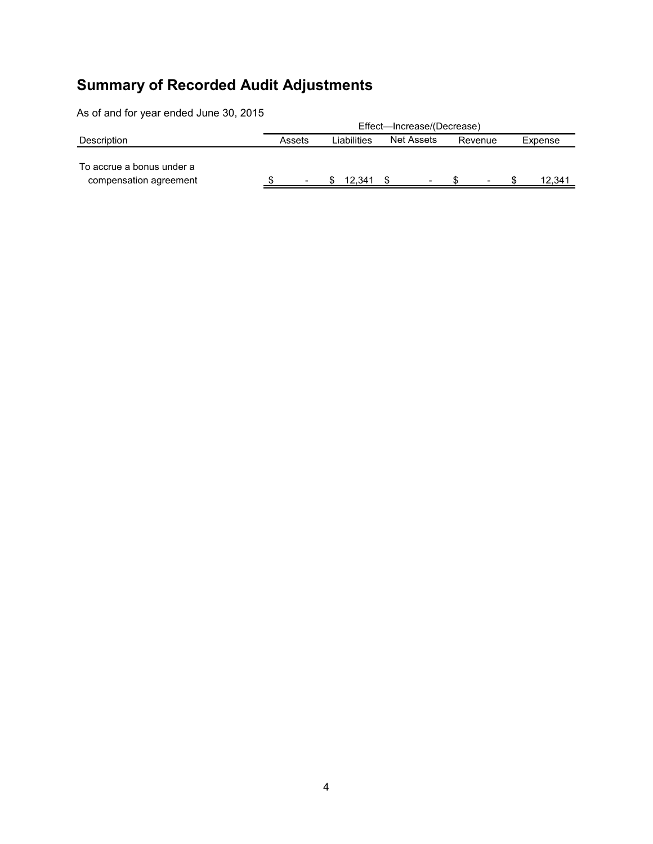# **Summary of Recorded Audit Adjustments**

As of and for year ended June 30, 2015

|                                                     | Effect—Increase/(Decrease) |                          |             |        |                   |                          |         |                          |         |        |
|-----------------------------------------------------|----------------------------|--------------------------|-------------|--------|-------------------|--------------------------|---------|--------------------------|---------|--------|
| Description                                         | Assets                     |                          | Liabilities |        | <b>Net Assets</b> |                          | Revenue |                          | Expense |        |
| To accrue a bonus under a<br>compensation agreement |                            | $\overline{\phantom{a}}$ |             | 12.341 |                   | $\overline{\phantom{0}}$ |         | $\overline{\phantom{a}}$ |         | 12,341 |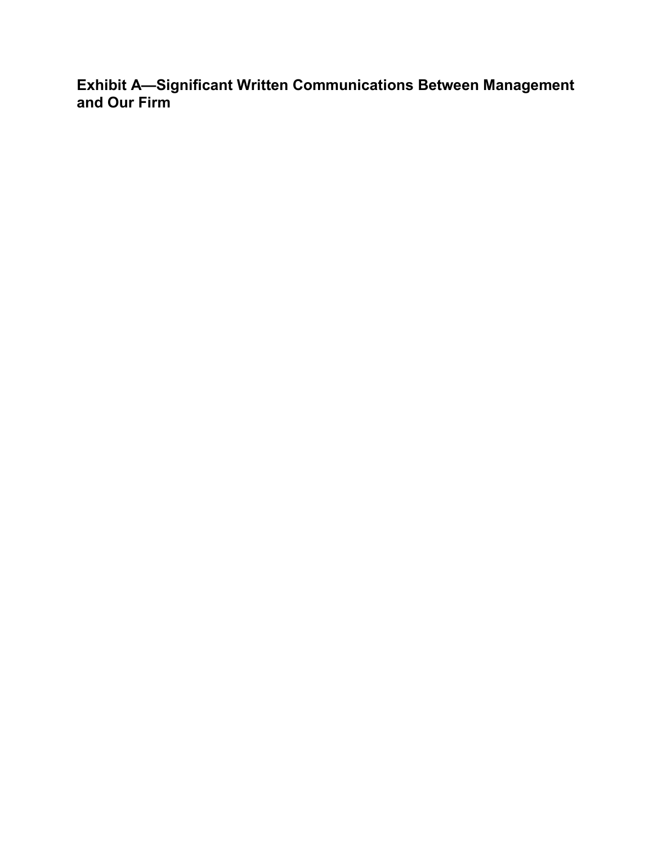**Exhibit A—Significant Written Communications Between Management and Our Firm**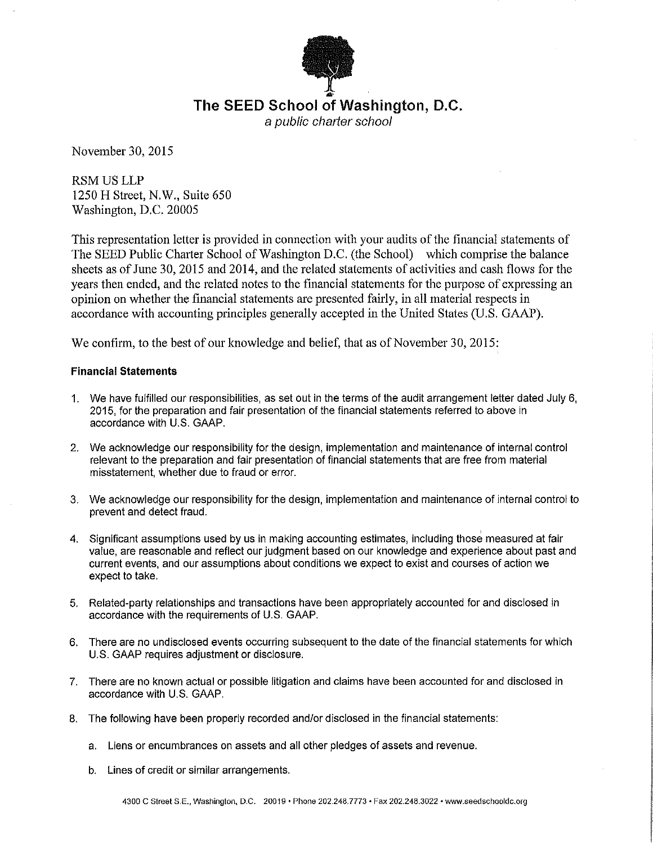

November 30, 2015

RSMUSLLP 1250 H Street, N.W., Suite 650 Washington, D.C. 20005

This representation letter is provided in connection with your audits of the financial statements of The SEED Public Charter School of Washington D.C. (the School) which comprise the balance sheets as of June 30, 2015 and 2014, and the related statements of activities and cash flows for the years then ended, and the related notes to the financial statements for the purpose of expressing an opinion on whether the financial statements are presented fairly, in all material respects in accordance with accounting principles generally accepted in the United States (U.S. GAAP).

We confirm, to the best of our knowledge and belief, that as of November 30, 2015:

## **Financial Statements**

- 1. We have fulfilled our responsibilities, as set out in the terms of the audit arrangement letter dated July 6, 2015, for the preparation and fair presentation of the financial statements referred to above in accordance with U.S. GAAP.
- 2. We acknowledge our responsibility for the design, implementation and maintenance of internal control relevant to the preparation and fair presentation of financial statements that are free from material misstatement, whether due to fraud or error.
- 3. We acknowledge our responsibility for the design, implementation and maintenance of internal control to prevent and detect fraud.
- 4. Significant assumptions used by us in making accounting estimates, including those measured at fair value, are reasonable and reflect our judgment based on our knowledge and experience about past and current events, and our assumptions about conditions we expect to exist and courses of action we expect to take.
- 5. Related-party relationships and transactions have been appropriately accounted for and disclosed in accordance with the requirements of U.S. GAAP.
- 6. There are no undisclosed events occurring subsequent to the date of the financial statements for which U.S. GAAP requires adjustment or disclosure.
- 7. There are no known actual or possible litigation and claims have been accounted for and disclosed in accordance with U.S. GAAP.
- 8. The following have been properly recorded and/or disclosed in the financial statements:
	- a. Liens or encumbrances on assets and all other pledges of assets and revenue.
	- b. Lines of credit or similar arrangements.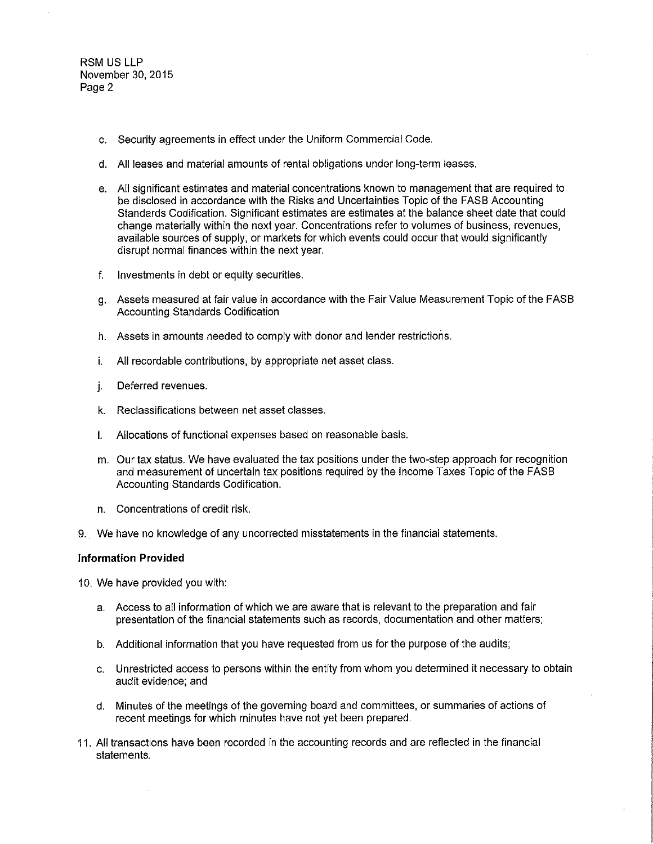- c. Security agreements in effect under the Uniform Commercial Code.
- d. All leases and material amounts of rental obligations under long-term leases.
- e. All significant estimates and material concentrations known to management that are required to be disclosed in accordance with the Risks and Uncertainties Topic of the FASB Accounting Standards Codification. Significant estimates are estimates at the balance sheet date that could change materially within the next year. Concentrations refer to volumes of business, revenues, available sources of supply, or markets for which events could occur that would significantly disrupt normal finances within the next year.
- f. Investments in debt or equity securities.
- g. Assets measured at fair value in accordance with the Fair Value Measurement Topic of the FASB Accounting Standards Codification
- h. Assets in amounts needed to comply with donor and lender restrictions.
- i. All recordable contributions, by appropriate net asset class.
- j. Deferred revenues.
- k. Reclassifications between net asset classes.
- I. Allocations of functional expenses based on reasonable basis.
- m. Our tax status. We have evaluated the tax positions under the two-step approach for recognition and measurement of uncertain tax positions required by the Income Taxes Topic of the FASB Accounting Standards Codification.
- n. Concentrations of credit risk.
- 9. We have no knowledge of any uncorrected misstatements in the financial statements.

#### **Information Provided**

10. We have provided you with:

- a. Access to all information of which we are aware that is relevant to the preparation and fair presentation of the financial statements such as records, documentation and other matters;
- b. Additional information that you have requested from us for the purpose of the audits;
- c. Unrestricted access to persons within the entity from whom you determined it necessary to obtain audit evidence; and
- d. Minutes of the meetings of the governing board and committees, or summaries of actions of recent meetings for which minutes have not yet been prepared.
- 11. All transactions have been recorded in the accounting records and are reflected in the financial statements.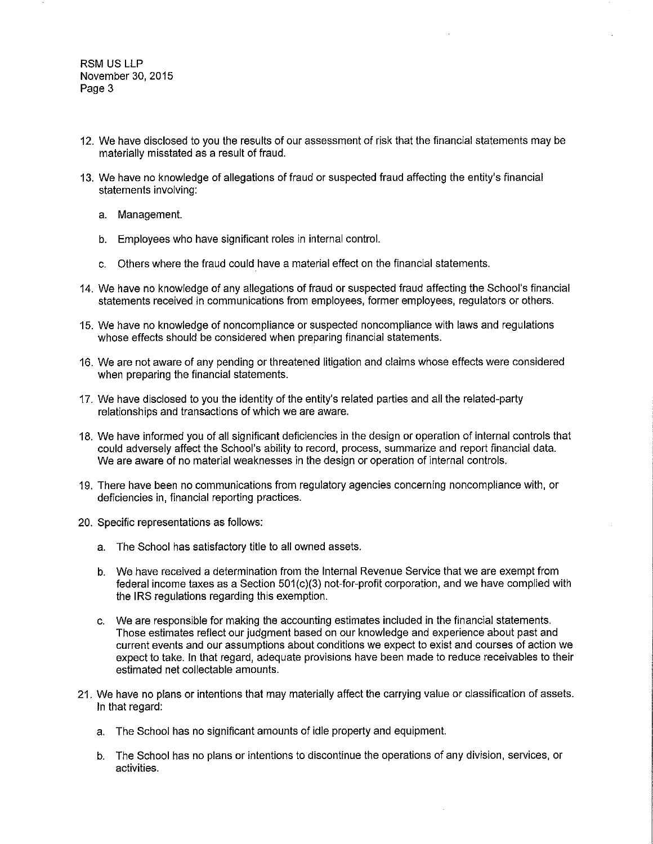- 12. We have disclosed to you the results of our assessment of risk that the financial statements may be materially misstated as a result of fraud.
- 13. We have no knowledge of allegations of fraud or suspected fraud affecting the entity's financial statements involving:
	- a. Management.
	- b. Employees who have significant roles in internal control.
	- c. Others where the fraud could have a material effect on the financial statements.
- 14. We have no knowledge of any allegations of fraud or suspected fraud affecting the School's financial statements received in communications from employees, former employees, regulators or others.
- 15. We have no knowledge of noncompliance or suspected noncompliance with laws and regulations whose effects should be considered when preparing financial statements.
- 16. We are not aware of any pending or threatened litigation and claims whose effects were considered when preparing the financial statements.
- 17. We have disclosed to you the identity of the entity's related parties and all the related-party relationships and transactions of which we are aware.
- 18. We have informed you of all significant deficiencies in the design or operation of internal controls that could adversely affect the School's ability to record, process, summarize and report financial data. We are aware of no material weaknesses in the design or operation of internal controls.
- 19. There have been no communications from regulatory agencies concerning noncompliance with, or deficiencies in, financial reporting practices.
- 20. Specific representations as follows:
	- a. The School has satisfactory title to all owned assets.
	- b. We have received a determination from the Internal Revenue Service that we are exempt from federal income taxes as a Section 501(c)(3) not-for-profit corporation, and we have complied with the IRS regulations regarding this exemption.
	- c. We are responsible for making the accounting estimates included in the financial statements. Those estimates reflect our judgment based on our knowledge and experience about past and current events and our assumptions about conditions we expect to exist and courses of action we expect to take. In that regard, adequate provisions have been made to reduce receivables to their estimated net collectable amounts.
- 21. We have no plans or intentions that may materially affect the carrying value or classification of assets. In that regard:
	- a. The School has no significant amounts of idle property and equipment.
	- b. The School has no plans or intentions to discontinue the operations of any division, services, or activities.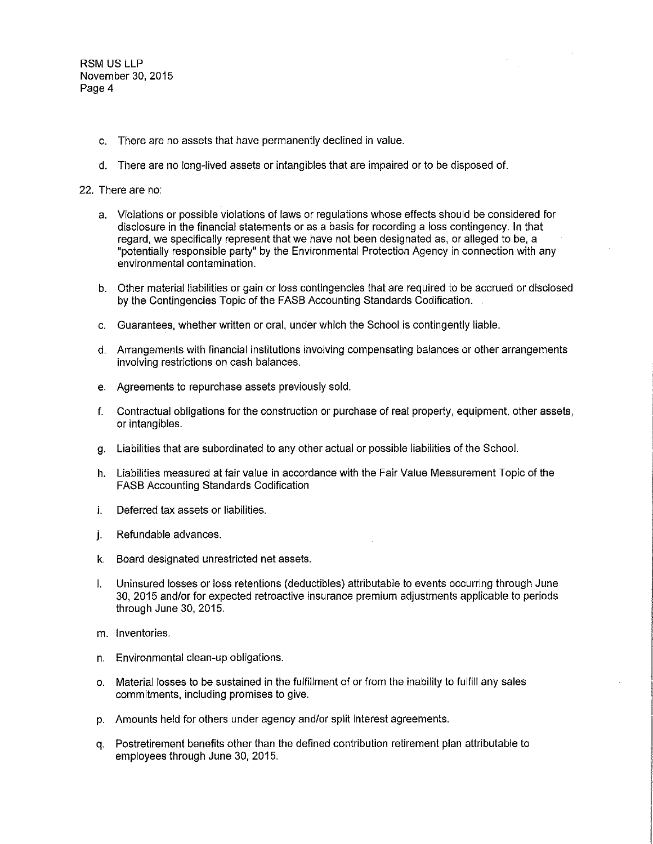- c. There are no assets that have permanently declined in value.
- d. There are no long-lived assets or intangibles that are impaired or to be disposed of.

#### 22. There are no:

- a. Violations or possible violations of laws or regulations whose effects should be considered for disclosure in the financial statements or as a basis for recording a loss contingency. In that regard, we specifically represent that we have not been designated as, or alleged to be, a "potentially responsible party" by the Environmental Protection Agency in connection with any environmental contamination.
- b. Other material liabilities or gain or loss contingencies that are required to be accrued or disclosed by the Contingencies Topic of the FASB Accounting Standards Codification.
- c. Guarantees, whether written or oral, under which the School is contingently liable.
- d. Arrangements with financial institutions involving compensating balances or other arrangements involving restrictions on cash balances.
- e. Agreements to repurchase assets previously sold.
- f. Contractual obligations for the construction or purchase of real property, equipment, other assets, or intangibles.
- g. Liabilities that are subordinated to any other actual or possible liabilities of the School.
- h. Liabilities measured at fair value in accordance with the Fair Value Measurement Topic of the FASB Accounting Standards Codification
- i. Deferred tax assets or liabilities.
- j. Refundable advances.
- k. Board designated unrestricted net assets.
- I. Uninsured losses or loss retentions (deductibles) attributable to events occurring through June 30, 2015 and/or for expected retroactive insurance premium adjustments applicable to periods through June 30, 2015.
- m. Inventories.
- n. Environmental clean-up obligations.
- o. Material losses to be sustained in the fulfillment of or from the inability to fulfill any sales commitments, including promises to give.
- p. Amounts held for others under agency and/or split interest agreements.
- q. Postretirement benefits other than the defined contribution retirement plan attributable to employees through June 30, 2015.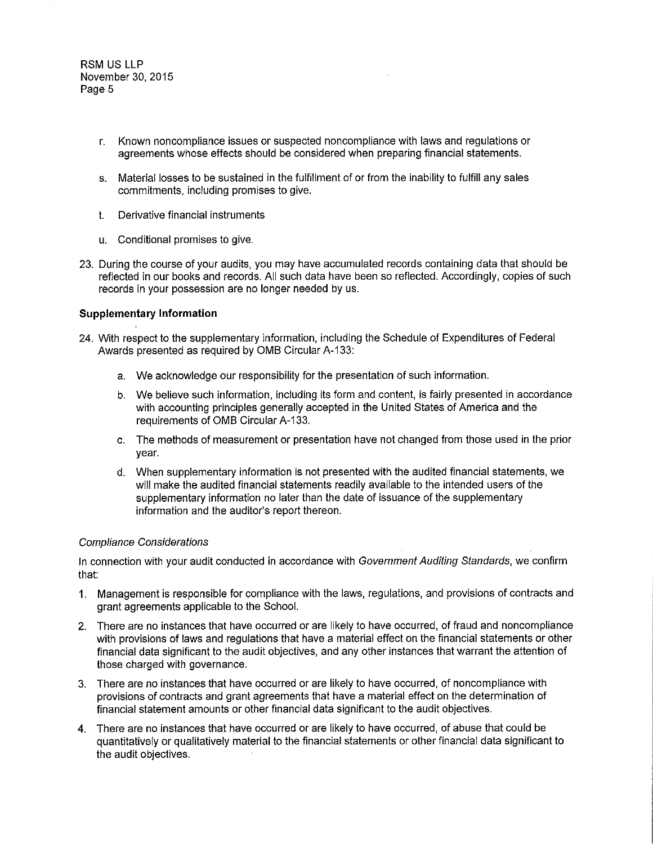- r. Known noncompliance issues or suspected noncompliance with laws and regulations or agreements whose effects should be considered when preparing financial statements.
- s. Material losses to be sustained in the fulfillment of or from the inability to fulfill any sales commitments, including promises to give.
- t. Derivative financial instruments
- u. Conditional promises to give.
- 23. During the course of your audits, you may have accumulated records containing data that should be reflected in our books and records. All such data have been so reflected. Accordingly, copies of such records in your possession are no longer needed by us.

## **Supplementary Information**

- 24. With respect to the supplementary information, including the Schedule of Expenditures of Federal Awards presented as required by OMB Circular A-133:
	- a. We acknowledge our responsibility for the presentation of such information.
	- b. We believe such information, including its form and content, is fairly presented in accordance with accounting principles generally accepted in the United States of America and the requirements of OMB Circular A-133.
	- c. The methods of measurement or presentation have not changed from those used in the prior year.
	- d. When supplementary information is not presented with the audited financial statements, we will make the audited financial statements readily available to the intended users of the supplementary information no later than the date of issuance of the supplementary information and the auditor's report thereon.

### Compliance Considerations

In connection with your audit conducted in accordance with Government Auditing Standards, we confirm that:

- 1. Management is responsible for compliance with the laws, regulations, and provisions of contracts and grant agreements applicable to the School.
- 2. There are no instances that have occurred or are likely to have occurred, of fraud and noncompliance with provisions of laws and regulations that have a material effect on the financial statements or other financial data significant to the audit objectives, and any other instances that warrant the attention of those charged with governance.
- 3. There are no instances that have occurred or are likely to have occurred, of noncompliance with provisions of contracts and grant agreements that have a material effect on the determination of financial statement amounts or other financial data significant to the audit objectives.
- 4. There are no instances that have occurred or are likely to have occurred, of abuse that could be quantitatively or qualitatively material to the financial statements or other financial data significant to the audit objectives.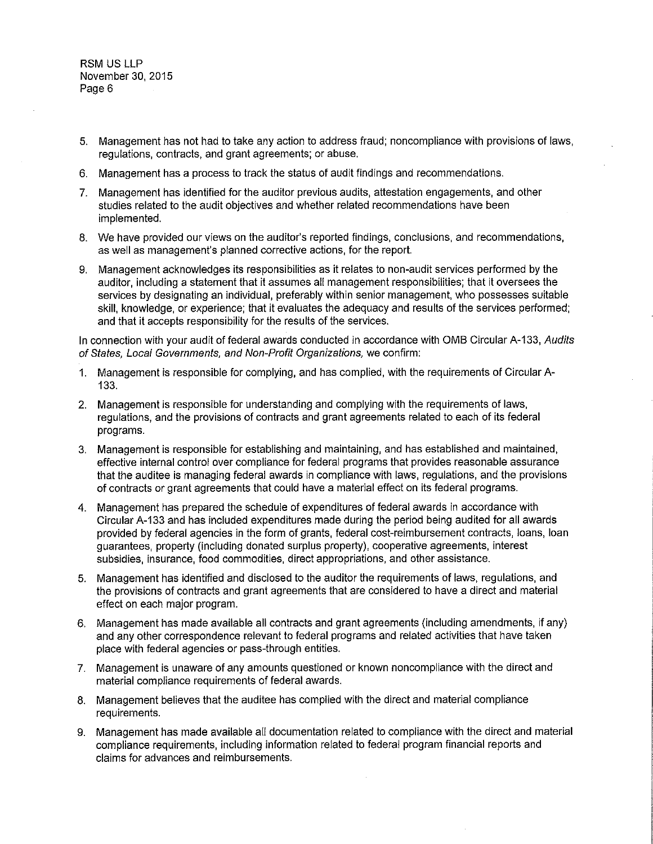- 5. Management has not had to take any action to address fraud; noncompliance with provisions of laws, regulations, contracts, and grant agreements; or abuse.
- 6. Management has a process to track the status of audit findings and recommendations.
- 7. Management has identified for the auditor previous audits, attestation engagements, and other studies related to the audit objectives and whether related recommendations have been implemented.
- 8. We have provided our views on the auditor's reported findings, conclusions, and recommendations, as well as management's planned corrective actions, for the report.
- 9. Management acknowledges its responsibilities as it relates to non-audit services performed by the auditor, including a statement that it assumes all management responsibilities; that it oversees the services by designating an individual, preferably within senior management, who possesses suitable skill, knowledge, or experience; that it evaluates the adequacy and results of the services performed; and that it accepts responsibility for the results of the services.

In connection with your audit of federal awards conducted in accordance with OMB Circular A-133, Audits of States, Local Governments, and Non-Profit Organizations, we confirm:

- 1. Management is responsible for complying, and has complied, with the requirements of Circular A-133.
- 2. Management is responsible for understanding and complying with the requirements of laws, regulations, and the provisions of contracts and grant agreements related to each of its federal programs.
- 3. Management is responsible for establishing and maintaining, and has established and maintained, effective internal control over compliance for federal programs that provides reasonable assurance that the auditee is managing federal awards in compliance with laws, regulations, and the provisions of contracts or grant agreements that could have a material effect on its federal programs.
- 4. Management has prepared the schedule of expenditures of federal awards in accordance with Circular A-133 and has included expenditures made during the period being audited for all awards provided by federal agencies in the form of grants, federal cost-reimbursement contracts, loans, loan guarantees, property (including donated surplus property), cooperative agreements, interest subsidies, insurance, food commodities, direct appropriations, and other assistance.
- 5. Management has identified and disclosed to the auditor the requirements of laws, regulations, and the provisions of contracts and grant agreements that are considered to have a direct and material effect on each major program.
- 6. Management has made available all contracts and grant agreements (including amendments, if any) and any other correspondence relevant to federal programs and related activities that have taken place with federal agencies or pass-through entities.
- 7. Management is unaware of any amounts questioned or known noncompliance with the direct and material compliance requirements of federal awards.
- 8. Management believes that the auditee has complied with the direct and material compliance requirements.
- 9. Management has made available all documentation related to compliance with the direct and material compliance requirements, including information related to federal program financial reports and claims for advances and reimbursements.